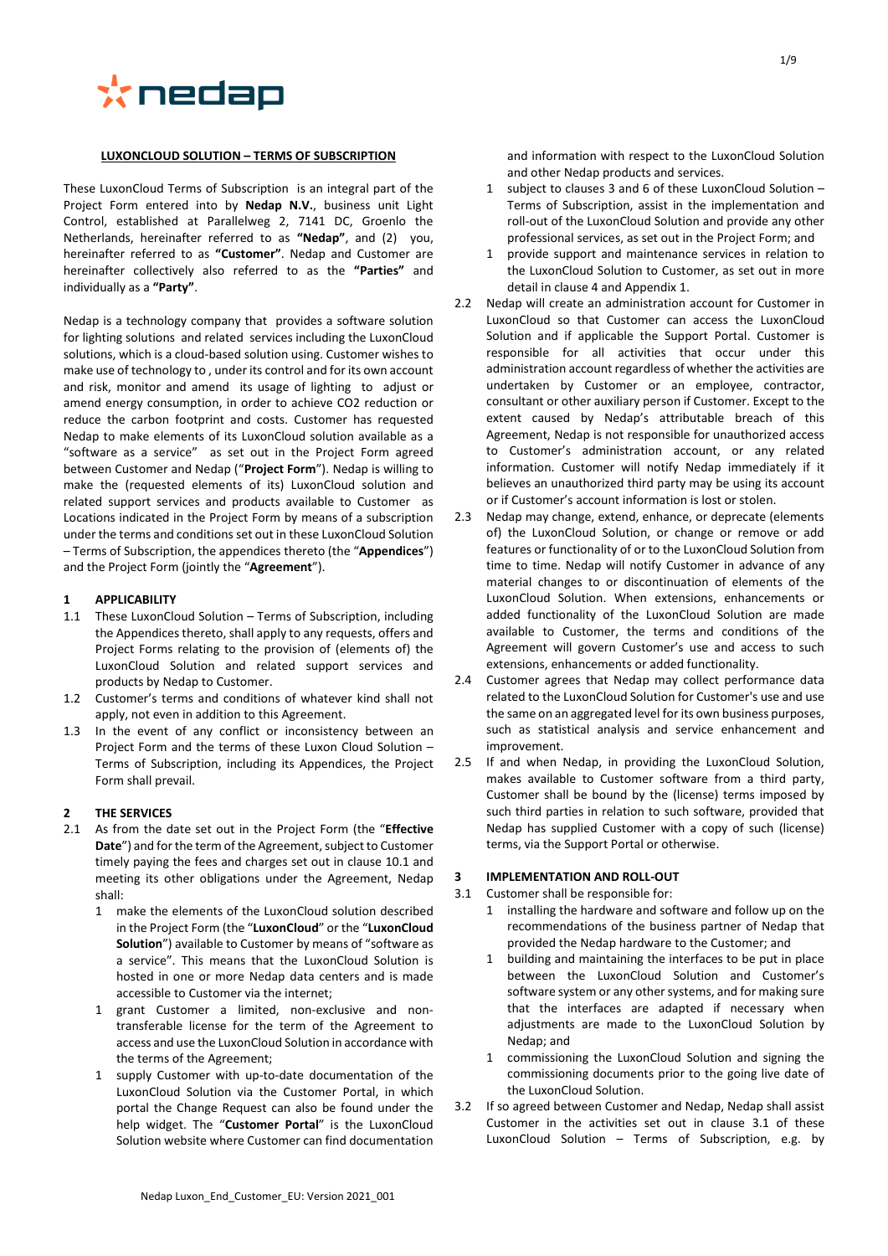

#### **LUXONCLOUD SOLUTION – TERMS OF SUBSCRIPTION**

These LuxonCloud Terms of Subscription is an integral part of the Project Form entered into by **Nedap N.V.**, business unit Light Control, established at Parallelweg 2, 7141 DC, Groenlo the Netherlands, hereinafter referred to as **"Nedap"**, and (2) you, hereinafter referred to as **"Customer"**. Nedap and Customer are hereinafter collectively also referred to as the **"Parties"** and individually as a **"Party"**.

Nedap is a technology company that provides a software solution for lighting solutions and related services including the LuxonCloud solutions, which is a cloud-based solution using. Customer wishes to make use of technology to , under its control and for its own account and risk, monitor and amend its usage of lighting to adjust or amend energy consumption, in order to achieve CO2 reduction or reduce the carbon footprint and costs. Customer has requested Nedap to make elements of its LuxonCloud solution available as a "software as a service" as set out in the Project Form agreed between Customer and Nedap ("**Project Form**"). Nedap is willing to make the (requested elements of its) LuxonCloud solution and related support services and products available to Customer as Locations indicated in the Project Form by means of a subscription under the terms and conditions set out in these LuxonCloud Solution – Terms of Subscription, the appendices thereto (the "**Appendices**") and the Project Form (jointly the "**Agreement**").

## **1 APPLICABILITY**

- 1.1 These LuxonCloud Solution Terms of Subscription, including the Appendices thereto, shall apply to any requests, offers and Project Forms relating to the provision of (elements of) the LuxonCloud Solution and related support services and products by Nedap to Customer.
- 1.2 Customer's terms and conditions of whatever kind shall not apply, not even in addition to this Agreement.
- 1.3 In the event of any conflict or inconsistency between an Project Form and the terms of these Luxon Cloud Solution – Terms of Subscription, including its Appendices, the Project Form shall prevail.

## **2 THE SERVICES**

- 2.1 As from the date set out in the Project Form (the "**Effective Date**") and for the term of the Agreement, subject to Customer timely paying the fees and charges set out in claus[e 10.1](#page-3-0) and meeting its other obligations under the Agreement, Nedap shall:
	- 1 make the elements of the LuxonCloud solution described in the Project Form (the "**LuxonCloud**" or the "**LuxonCloud Solution**") available to Customer by means of "software as a service". This means that the LuxonCloud Solution is hosted in one or more Nedap data centers and is made accessible to Customer via the internet;
	- 1 grant Customer a limited, non-exclusive and nontransferable license for the term of the Agreement to access and use the LuxonCloud Solution in accordance with the terms of the Agreement;
	- 1 supply Customer with up-to-date documentation of the LuxonCloud Solution via the Customer Portal, in which portal the Change Request can also be found under the help widget. The "**Customer Portal**" is the LuxonCloud Solution website where Customer can find documentation

and information with respect to the LuxonCloud Solution and other Nedap products and services.

- 1 subject to clauses [3](#page-0-0) and [6](#page-1-0) of these LuxonCloud Solution Terms of Subscription, assist in the implementation and roll-out of the LuxonCloud Solution and provide any other professional services, as set out in the Project Form; and
- 1 provide support and maintenance services in relation to the LuxonCloud Solution to Customer, as set out in more detail in claus[e 4](#page-1-1) and Appendix 1.
- <span id="page-0-2"></span>2.2 Nedap will create an administration account for Customer in LuxonCloud so that Customer can access the LuxonCloud Solution and if applicable the Support Portal. Customer is responsible for all activities that occur under this administration account regardless of whether the activities are undertaken by Customer or an employee, contractor, consultant or other auxiliary person if Customer. Except to the extent caused by Nedap's attributable breach of this Agreement, Nedap is not responsible for unauthorized access to Customer's administration account, or any related information. Customer will notify Nedap immediately if it believes an unauthorized third party may be using its account or if Customer's account information is lost or stolen.
- 2.3 Nedap may change, extend, enhance, or deprecate (elements of) the LuxonCloud Solution, or change or remove or add features or functionality of or to the LuxonCloud Solution from time to time. Nedap will notify Customer in advance of any material changes to or discontinuation of elements of the LuxonCloud Solution. When extensions, enhancements or added functionality of the LuxonCloud Solution are made available to Customer, the terms and conditions of the Agreement will govern Customer's use and access to such extensions, enhancements or added functionality.
- 2.4 Customer agrees that Nedap may collect performance data related to the LuxonCloud Solution for Customer's use and use the same on an aggregated level for its own business purposes, such as statistical analysis and service enhancement and improvement.
- 2.5 If and when Nedap, in providing the LuxonCloud Solution, makes available to Customer software from a third party, Customer shall be bound by the (license) terms imposed by such third parties in relation to such software, provided that Nedap has supplied Customer with a copy of such (license) terms, via the Support Portal or otherwise.

## <span id="page-0-0"></span>**3 IMPLEMENTATION AND ROLL-OUT**

- <span id="page-0-1"></span>3.1 Customer shall be responsible for:
	- 1 installing the hardware and software and follow up on the recommendations of the business partner of Nedap that provided the Nedap hardware to the Customer; and
	- 1 building and maintaining the interfaces to be put in place between the LuxonCloud Solution and Customer's software system or any other systems, and for making sure that the interfaces are adapted if necessary when adjustments are made to the LuxonCloud Solution by Nedap; and
	- 1 commissioning the LuxonCloud Solution and signing the commissioning documents prior to the going live date of the LuxonCloud Solution.
- 3.2 If so agreed between Customer and Nedap, Nedap shall assist Customer in the activities set out in clause [3.1](#page-0-1) of these LuxonCloud Solution – Terms of Subscription, e.g. by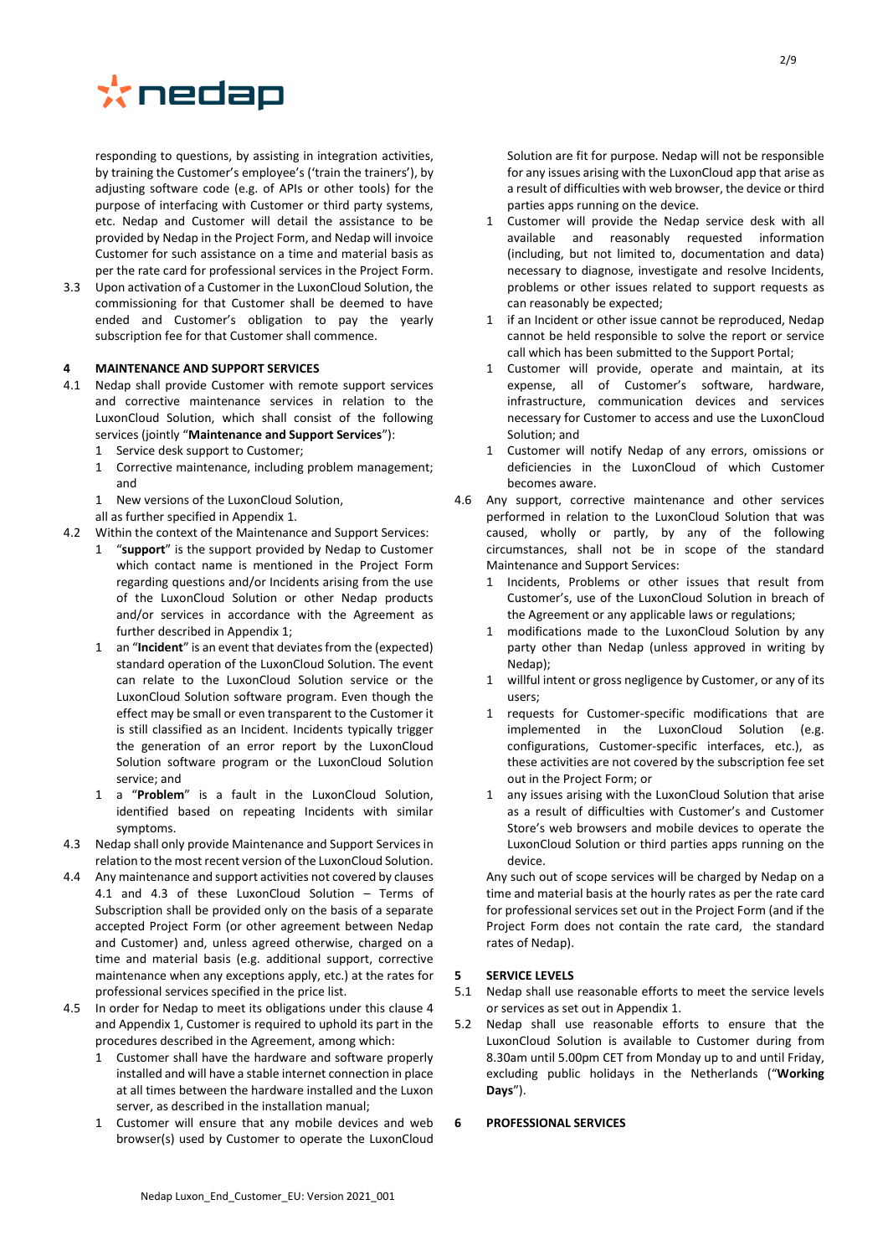

responding to questions, by assisting in integration activities, by training the Customer's employee's ('train the trainers'), by adjusting software code (e.g. of APIs or other tools) for the purpose of interfacing with Customer or third party systems, etc. Nedap and Customer will detail the assistance to be provided by Nedap in the Project Form, and Nedap will invoice Customer for such assistance on a time and material basis as per the rate card for professional services in the Project Form.

3.3 Upon activation of a Customer in the LuxonCloud Solution, the commissioning for that Customer shall be deemed to have ended and Customer's obligation to pay the yearly subscription fee for that Customer shall commence.

## <span id="page-1-1"></span>**4 MAINTENANCE AND SUPPORT SERVICES**

- <span id="page-1-2"></span>4.1 Nedap shall provide Customer with remote support services and corrective maintenance services in relation to the LuxonCloud Solution, which shall consist of the following services (jointly "**Maintenance and Support Services**"):
	- 1 Service desk support to Customer;
	- 1 Corrective maintenance, including problem management; and
	- 1 New versions of the LuxonCloud Solution,
- all as further specified in Appendix 1.
- 4.2 Within the context of the Maintenance and Support Services:
	- 1 "**support**" is the support provided by Nedap to Customer which contact name is mentioned in the Project Form regarding questions and/or Incidents arising from the use of the LuxonCloud Solution or other Nedap products and/or services in accordance with the Agreement as further described in Appendix 1;
	- 1 an "**Incident**" is an event that deviates from the (expected) standard operation of the LuxonCloud Solution. The event can relate to the LuxonCloud Solution service or the LuxonCloud Solution software program. Even though the effect may be small or even transparent to the Customer it is still classified as an Incident. Incidents typically trigger the generation of an error report by the LuxonCloud Solution software program or the LuxonCloud Solution service; and
	- 1 a "**Problem**" is a fault in the LuxonCloud Solution, identified based on repeating Incidents with similar symptoms.
- <span id="page-1-3"></span>4.3 Nedap shall only provide Maintenance and Support Services in relation to the most recent version of the LuxonCloud Solution.
- 4.4 Any maintenance and support activities not covered by clauses [4.1](#page-1-2) and [4.3](#page-1-3) of these LuxonCloud Solution – Terms of Subscription shall be provided only on the basis of a separate accepted Project Form (or other agreement between Nedap and Customer) and, unless agreed otherwise, charged on a time and material basis (e.g. additional support, corrective maintenance when any exceptions apply, etc.) at the rates for professional services specified in the price list.
- 4.5 In order for Nedap to meet its obligations under this clause [4](#page-1-1) and Appendix 1, Customer is required to uphold its part in the procedures described in the Agreement, among which:
	- 1 Customer shall have the hardware and software properly installed and will have a stable internet connection in place at all times between the hardware installed and the Luxon server, as described in the installation manual;
	- 1 Customer will ensure that any mobile devices and web browser(s) used by Customer to operate the LuxonCloud

Solution are fit for purpose. Nedap will not be responsible for any issues arising with the LuxonCloud app that arise as a result of difficulties with web browser, the device or third parties apps running on the device.

- 1 Customer will provide the Nedap service desk with all available and reasonably requested information (including, but not limited to, documentation and data) necessary to diagnose, investigate and resolve Incidents, problems or other issues related to support requests as can reasonably be expected;
- 1 if an Incident or other issue cannot be reproduced, Nedap cannot be held responsible to solve the report or service call which has been submitted to the Support Portal;
- 1 Customer will provide, operate and maintain, at its expense, all of Customer's software, hardware, infrastructure, communication devices and services necessary for Customer to access and use the LuxonCloud Solution; and
- 1 Customer will notify Nedap of any errors, omissions or deficiencies in the LuxonCloud of which Customer becomes aware.
- 4.6 Any support, corrective maintenance and other services performed in relation to the LuxonCloud Solution that was caused, wholly or partly, by any of the following circumstances, shall not be in scope of the standard Maintenance and Support Services:
	- 1 Incidents, Problems or other issues that result from Customer's, use of the LuxonCloud Solution in breach of the Agreement or any applicable laws or regulations;
	- 1 modifications made to the LuxonCloud Solution by any party other than Nedap (unless approved in writing by Nedap);
	- 1 willful intent or gross negligence by Customer, or any of its users;
	- 1 requests for Customer-specific modifications that are implemented in the LuxonCloud Solution (e.g. configurations, Customer-specific interfaces, etc.), as these activities are not covered by the subscription fee set out in the Project Form; or
	- any issues arising with the LuxonCloud Solution that arise as a result of difficulties with Customer's and Customer Store's web browsers and mobile devices to operate the LuxonCloud Solution or third parties apps running on the device.

Any such out of scope services will be charged by Nedap on a time and material basis at the hourly rates as per the rate card for professional services set out in the Project Form (and if the Project Form does not contain the rate card, the standard rates of Nedap).

## **5 SERVICE LEVELS**

- 5.1 Nedap shall use reasonable efforts to meet the service levels or services as set out in Appendix 1.
- 5.2 Nedap shall use reasonable efforts to ensure that the LuxonCloud Solution is available to Customer during from 8.30am until 5.00pm CET from Monday up to and until Friday, excluding public holidays in the Netherlands ("**Working Days**").

## <span id="page-1-0"></span>**6 PROFESSIONAL SERVICES**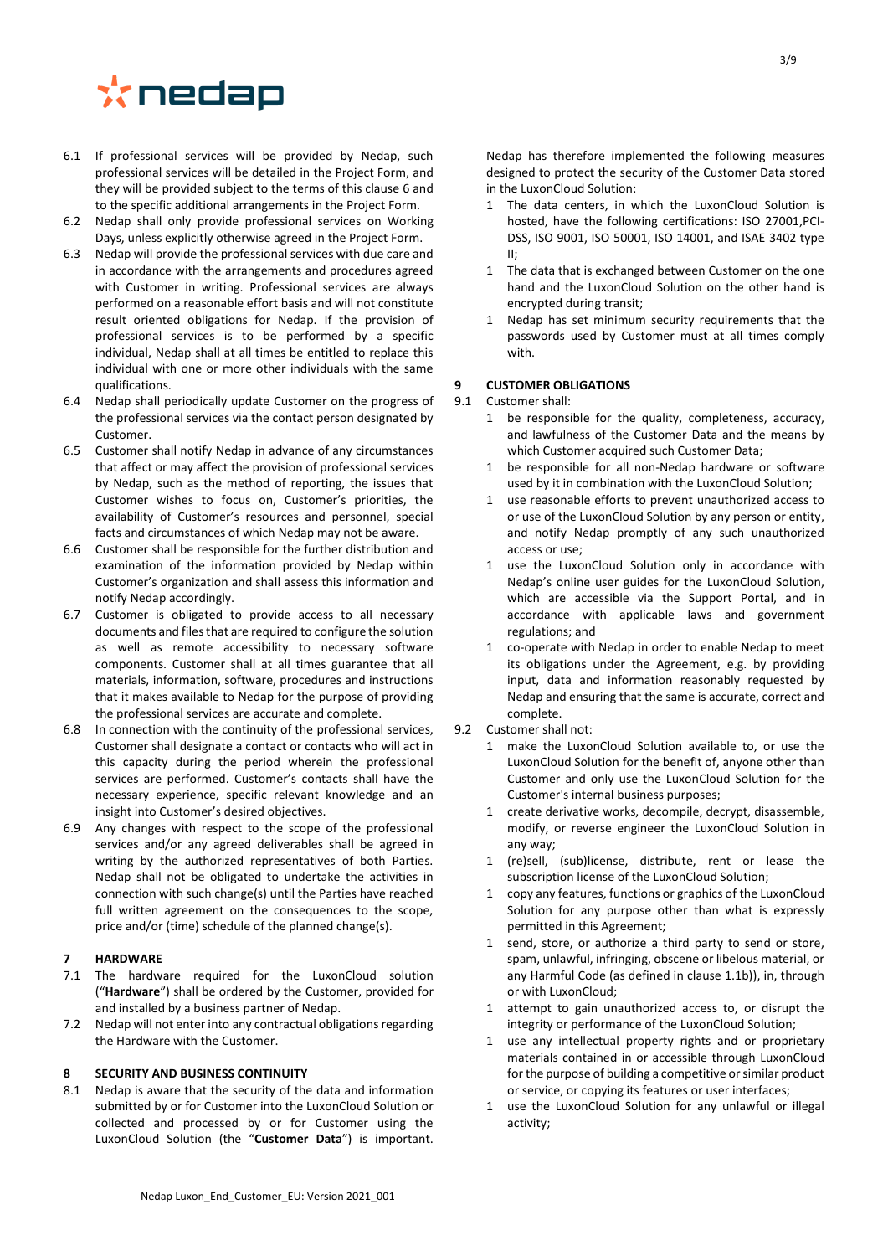# \*nedap

- 6.1 If professional services will be provided by Nedap, such professional services will be detailed in the Project Form, and they will be provided subject to the terms of this clause [6](#page-1-0) and to the specific additional arrangements in the Project Form.
- 6.2 Nedap shall only provide professional services on Working Days, unless explicitly otherwise agreed in the Project Form.
- 6.3 Nedap will provide the professional services with due care and in accordance with the arrangements and procedures agreed with Customer in writing. Professional services are always performed on a reasonable effort basis and will not constitute result oriented obligations for Nedap. If the provision of professional services is to be performed by a specific individual, Nedap shall at all times be entitled to replace this individual with one or more other individuals with the same qualifications.
- 6.4 Nedap shall periodically update Customer on the progress of the professional services via the contact person designated by Customer.
- 6.5 Customer shall notify Nedap in advance of any circumstances that affect or may affect the provision of professional services by Nedap, such as the method of reporting, the issues that Customer wishes to focus on, Customer's priorities, the availability of Customer's resources and personnel, special facts and circumstances of which Nedap may not be aware.
- 6.6 Customer shall be responsible for the further distribution and examination of the information provided by Nedap within Customer's organization and shall assess this information and notify Nedap accordingly.
- 6.7 Customer is obligated to provide access to all necessary documents and files that are required to configure the solution as well as remote accessibility to necessary software components. Customer shall at all times guarantee that all materials, information, software, procedures and instructions that it makes available to Nedap for the purpose of providing the professional services are accurate and complete.
- 6.8 In connection with the continuity of the professional services, Customer shall designate a contact or contacts who will act in this capacity during the period wherein the professional services are performed. Customer's contacts shall have the necessary experience, specific relevant knowledge and an insight into Customer's desired objectives.
- 6.9 Any changes with respect to the scope of the professional services and/or any agreed deliverables shall be agreed in writing by the authorized representatives of both Parties. Nedap shall not be obligated to undertake the activities in connection with such change(s) until the Parties have reached full written agreement on the consequences to the scope, price and/or (time) schedule of the planned change(s).

## **7 HARDWARE**

- 7.1 The hardware required for the LuxonCloud solution ("**Hardware**") shall be ordered by the Customer, provided for and installed by a business partner of Nedap.
- 7.2 Nedap will not enter into any contractual obligations regarding the Hardware with the Customer.

## **8 SECURITY AND BUSINESS CONTINUITY**

8.1 Nedap is aware that the security of the data and information submitted by or for Customer into the LuxonCloud Solution or collected and processed by or for Customer using the LuxonCloud Solution (the "**Customer Data**") is important.

Nedap has therefore implemented the following measures designed to protect the security of the Customer Data stored in the LuxonCloud Solution:

- 1 The data centers, in which the LuxonCloud Solution is hosted, have the following certifications: ISO 27001,PCI-DSS, ISO 9001, ISO 50001, ISO 14001, and ISAE 3402 type II;
- 1 The data that is exchanged between Customer on the one hand and the LuxonCloud Solution on the other hand is encrypted during transit;
- 1 Nedap has set minimum security requirements that the passwords used by Customer must at all times comply with.

# **9 CUSTOMER OBLIGATIONS**

## 9.1 Customer shall:

- 1 be responsible for the quality, completeness, accuracy, and lawfulness of the Customer Data and the means by which Customer acquired such Customer Data;
- 1 be responsible for all non-Nedap hardware or software used by it in combination with the LuxonCloud Solution;
- 1 use reasonable efforts to prevent unauthorized access to or use of the LuxonCloud Solution by any person or entity, and notify Nedap promptly of any such unauthorized access or use;
- 1 use the LuxonCloud Solution only in accordance with Nedap's online user guides for the LuxonCloud Solution, which are accessible via the Support Portal, and in accordance with applicable laws and government regulations; and
- 1 co-operate with Nedap in order to enable Nedap to meet its obligations under the Agreement, e.g. by providing input, data and information reasonably requested by Nedap and ensuring that the same is accurate, correct and complete.
- 9.2 Customer shall not:
	- 1 make the LuxonCloud Solution available to, or use the LuxonCloud Solution for the benefit of, anyone other than Customer and only use the LuxonCloud Solution for the Customer's internal business purposes;
	- 1 create derivative works, decompile, decrypt, disassemble, modify, or reverse engineer the LuxonCloud Solution in any way;
	- 1 (re)sell, (sub)license, distribute, rent or lease the subscription license of the LuxonCloud Solution;
	- 1 copy any features, functions or graphics of the LuxonCloud Solution for any purpose other than what is expressly permitted in this Agreement;
	- 1 send, store, or authorize a third party to send or store, spam, unlawful, infringing, obscene or libelous material, or any Harmful Code (as defined in clause [1.1b\)\)](#page-5-0), in, through or with LuxonCloud;
	- 1 attempt to gain unauthorized access to, or disrupt the integrity or performance of the LuxonCloud Solution;
	- 1 use any intellectual property rights and or proprietary materials contained in or accessible through LuxonCloud for the purpose of building a competitive or similar product or service, or copying its features or user interfaces;
	- 1 use the LuxonCloud Solution for any unlawful or illegal activity;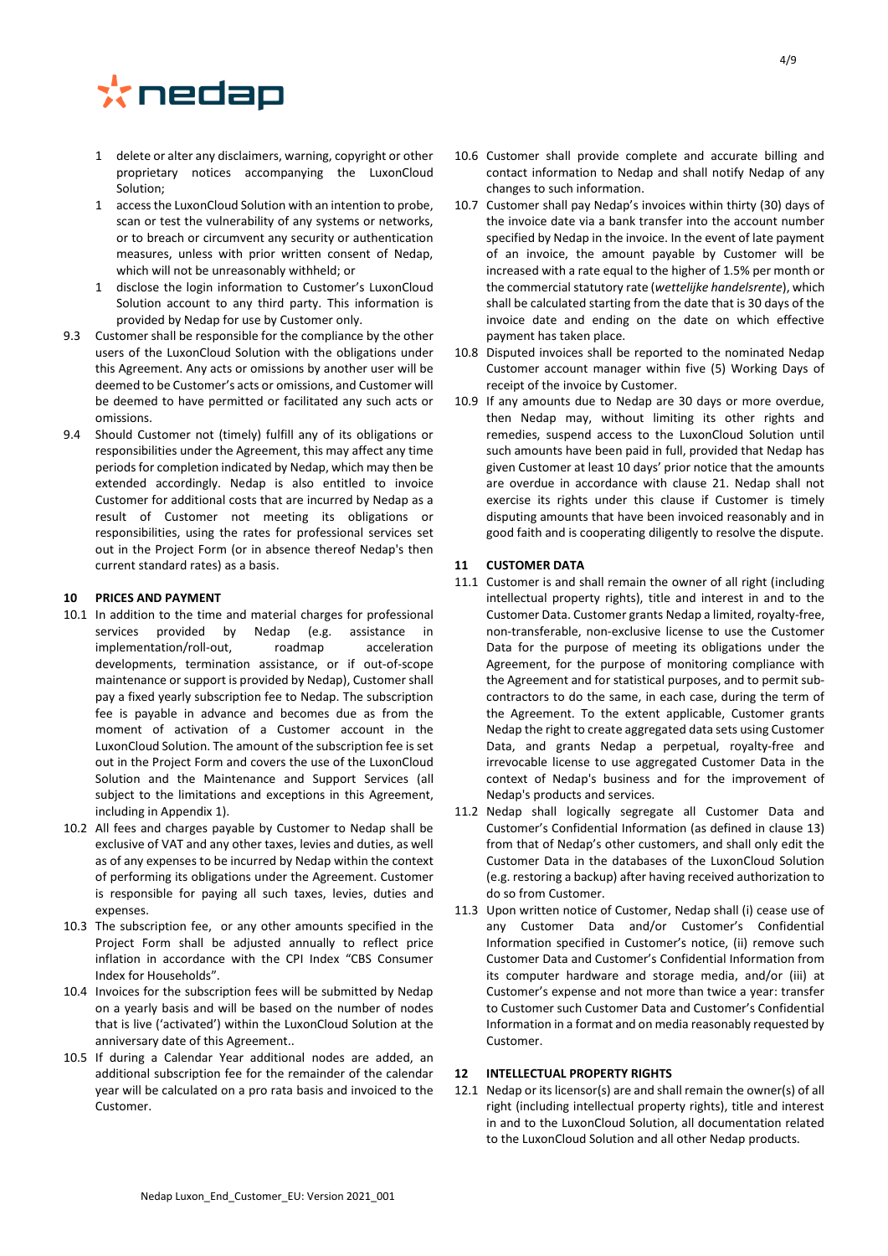

- 1 delete or alter any disclaimers, warning, copyright or other proprietary notices accompanying the LuxonCloud Solution;
- 1 accessthe LuxonCloud Solution with an intention to probe, scan or test the vulnerability of any systems or networks, or to breach or circumvent any security or authentication measures, unless with prior written consent of Nedap, which will not be unreasonably withheld; or
- 1 disclose the login information to Customer's LuxonCloud Solution account to any third party. This information is provided by Nedap for use by Customer only.
- 9.3 Customer shall be responsible for the compliance by the other users of the LuxonCloud Solution with the obligations under this Agreement. Any acts or omissions by another user will be deemed to be Customer's acts or omissions, and Customer will be deemed to have permitted or facilitated any such acts or omissions.
- 9.4 Should Customer not (timely) fulfill any of its obligations or responsibilities under the Agreement, this may affect any time periods for completion indicated by Nedap, which may then be extended accordingly. Nedap is also entitled to invoice Customer for additional costs that are incurred by Nedap as a result of Customer not meeting its obligations or responsibilities, using the rates for professional services set out in the Project Form (or in absence thereof Nedap's then current standard rates) as a basis.

## **10 PRICES AND PAYMENT**

- <span id="page-3-0"></span>10.1 In addition to the time and material charges for professional services provided by Nedap (e.g. assistance in implementation/roll-out, roadmap acceleration developments, termination assistance, or if out-of-scope maintenance or support is provided by Nedap), Customer shall pay a fixed yearly subscription fee to Nedap. The subscription fee is payable in advance and becomes due as from the moment of activation of a Customer account in the LuxonCloud Solution. The amount of the subscription fee is set out in the Project Form and covers the use of the LuxonCloud Solution and the Maintenance and Support Services (all subject to the limitations and exceptions in this Agreement, including in Appendix 1).
- 10.2 All fees and charges payable by Customer to Nedap shall be exclusive of VAT and any other taxes, levies and duties, as well as of any expenses to be incurred by Nedap within the context of performing its obligations under the Agreement. Customer is responsible for paying all such taxes, levies, duties and expenses.
- 10.3 The subscription fee, or any other amounts specified in the Project Form shall be adjusted annually to reflect price inflation in accordance with the CPI Index "CBS Consumer Index for Households".
- 10.4 Invoices for the subscription fees will be submitted by Nedap on a yearly basis and will be based on the number of nodes that is live ('activated') within the LuxonCloud Solution at the anniversary date of this Agreement..
- 10.5 If during a Calendar Year additional nodes are added, an additional subscription fee for the remainder of the calendar year will be calculated on a pro rata basis and invoiced to the Customer.
- 10.6 Customer shall provide complete and accurate billing and contact information to Nedap and shall notify Nedap of any changes to such information.
- 10.7 Customer shall pay Nedap's invoices within thirty (30) days of the invoice date via a bank transfer into the account number specified by Nedap in the invoice. In the event of late payment of an invoice, the amount payable by Customer will be increased with a rate equal to the higher of 1.5% per month or the commercial statutory rate (*wettelijke handelsrente*), which shall be calculated starting from the date that is 30 days of the invoice date and ending on the date on which effective payment has taken place.
- 10.8 Disputed invoices shall be reported to the nominated Nedap Customer account manager within five (5) Working Days of receipt of the invoice by Customer.
- 10.9 If any amounts due to Nedap are 30 days or more overdue, then Nedap may, without limiting its other rights and remedies, suspend access to the LuxonCloud Solution until such amounts have been paid in full, provided that Nedap has given Customer at least 10 days' prior notice that the amounts are overdue in accordance with clause [21.](#page-6-0) Nedap shall not exercise its rights under this clause if Customer is timely disputing amounts that have been invoiced reasonably and in good faith and is cooperating diligently to resolve the dispute.

## **11 CUSTOMER DATA**

- 11.1 Customer is and shall remain the owner of all right (including intellectual property rights), title and interest in and to the Customer Data. Customer grants Nedap a limited, royalty-free, non-transferable, non-exclusive license to use the Customer Data for the purpose of meeting its obligations under the Agreement, for the purpose of monitoring compliance with the Agreement and for statistical purposes, and to permit subcontractors to do the same, in each case, during the term of the Agreement. To the extent applicable, Customer grants Nedap the right to create aggregated data sets using Customer Data, and grants Nedap a perpetual, royalty-free and irrevocable license to use aggregated Customer Data in the context of Nedap's business and for the improvement of Nedap's products and services.
- 11.2 Nedap shall logically segregate all Customer Data and Customer's Confidential Information (as defined in clause [13\)](#page-4-0) from that of Nedap's other customers, and shall only edit the Customer Data in the databases of the LuxonCloud Solution (e.g. restoring a backup) after having received authorization to do so from Customer.
- 11.3 Upon written notice of Customer, Nedap shall (i) cease use of any Customer Data and/or Customer's Confidential Information specified in Customer's notice, (ii) remove such Customer Data and Customer's Confidential Information from its computer hardware and storage media, and/or (iii) at Customer's expense and not more than twice a year: transfer to Customer such Customer Data and Customer's Confidential Information in a format and on media reasonably requested by Customer.

## **12 INTELLECTUAL PROPERTY RIGHTS**

12.1 Nedap or its licensor(s) are and shall remain the owner(s) of all right (including intellectual property rights), title and interest in and to the LuxonCloud Solution, all documentation related to the LuxonCloud Solution and all other Nedap products.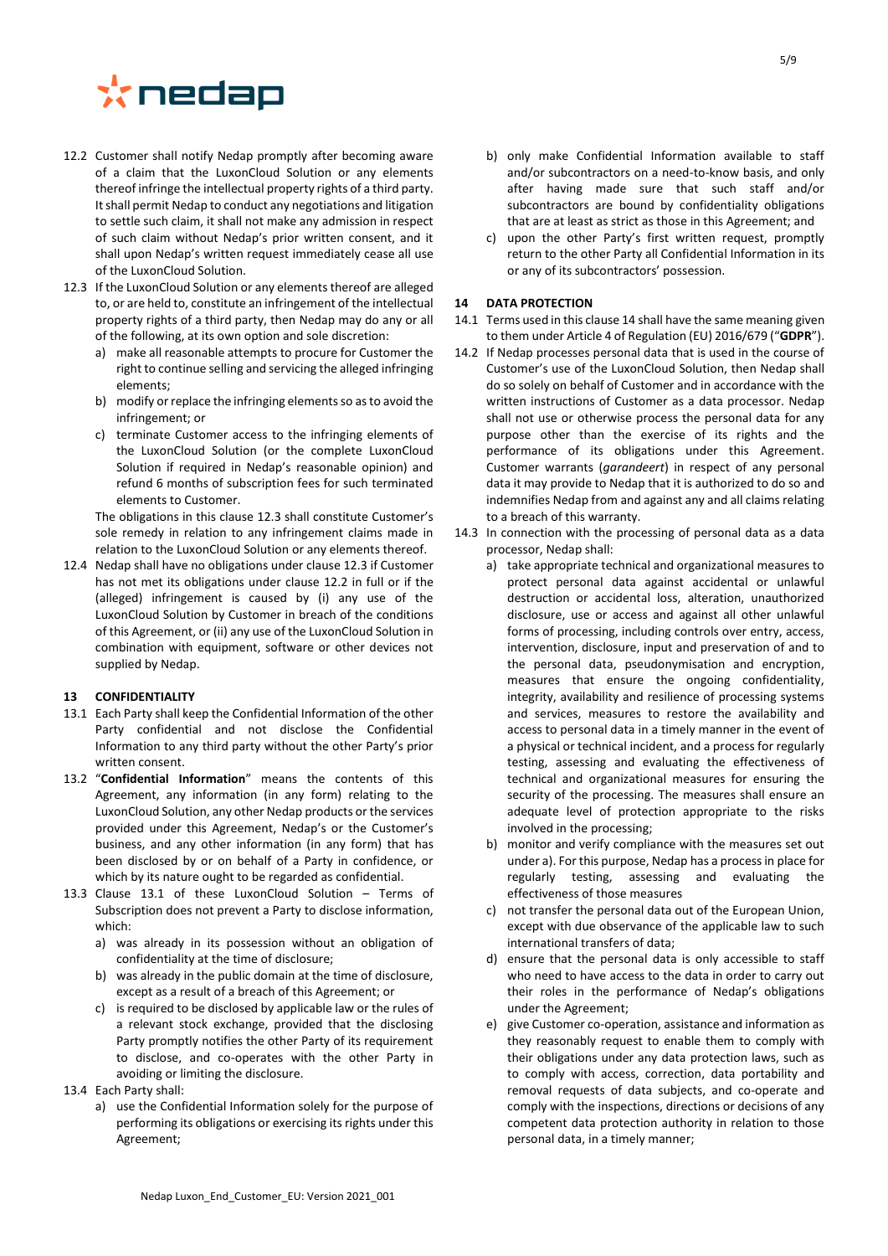

- <span id="page-4-2"></span>12.2 Customer shall notify Nedap promptly after becoming aware of a claim that the LuxonCloud Solution or any elements thereof infringe the intellectual property rights of a third party. It shall permit Nedap to conduct any negotiations and litigation to settle such claim, it shall not make any admission in respect of such claim without Nedap's prior written consent, and it shall upon Nedap's written request immediately cease all use of the LuxonCloud Solution.
- <span id="page-4-1"></span>12.3 If the LuxonCloud Solution or any elements thereof are alleged to, or are held to, constitute an infringement of the intellectual property rights of a third party, then Nedap may do any or all of the following, at its own option and sole discretion:
	- a) make all reasonable attempts to procure for Customer the right to continue selling and servicing the alleged infringing elements;
	- b) modify or replace the infringing elements so as to avoid the infringement; or
	- c) terminate Customer access to the infringing elements of the LuxonCloud Solution (or the complete LuxonCloud Solution if required in Nedap's reasonable opinion) and refund 6 months of subscription fees for such terminated elements to Customer.

The obligations in this claus[e 12.3](#page-4-1) shall constitute Customer's sole remedy in relation to any infringement claims made in relation to the LuxonCloud Solution or any elements thereof.

12.4 Nedap shall have no obligations under claus[e 12.3](#page-4-1) if Customer has not met its obligations under clause [12.2](#page-4-2) in full or if the (alleged) infringement is caused by (i) any use of the LuxonCloud Solution by Customer in breach of the conditions of this Agreement, or (ii) any use of the LuxonCloud Solution in combination with equipment, software or other devices not supplied by Nedap.

#### <span id="page-4-0"></span>**13 CONFIDENTIALITY**

- <span id="page-4-3"></span>13.1 Each Party shall keep the Confidential Information of the other Party confidential and not disclose the Confidential Information to any third party without the other Party's prior written consent.
- 13.2 "**Confidential Information**" means the contents of this Agreement, any information (in any form) relating to the LuxonCloud Solution, any other Nedap products or the services provided under this Agreement, Nedap's or the Customer's business, and any other information (in any form) that has been disclosed by or on behalf of a Party in confidence, or which by its nature ought to be regarded as confidential.
- 13.3 Clause [13.1](#page-4-3) of these LuxonCloud Solution Terms of Subscription does not prevent a Party to disclose information, which:
	- a) was already in its possession without an obligation of confidentiality at the time of disclosure;
	- b) was already in the public domain at the time of disclosure, except as a result of a breach of this Agreement; or
	- c) is required to be disclosed by applicable law or the rules of a relevant stock exchange, provided that the disclosing Party promptly notifies the other Party of its requirement to disclose, and co-operates with the other Party in avoiding or limiting the disclosure.
- 13.4 Each Party shall:
	- a) use the Confidential Information solely for the purpose of performing its obligations or exercising its rights under this Agreement;
- b) only make Confidential Information available to staff and/or subcontractors on a need-to-know basis, and only after having made sure that such staff and/or subcontractors are bound by confidentiality obligations that are at least as strict as those in this Agreement; and
- c) upon the other Party's first written request, promptly return to the other Party all Confidential Information in its or any of its subcontractors' possession.

## <span id="page-4-4"></span>**14 DATA PROTECTION**

- 14.1 Terms used in this claus[e 14](#page-4-4) shall have the same meaning given to them under Article 4 of Regulation (EU) 2016/679 ("**GDPR**").
- 14.2 If Nedap processes personal data that is used in the course of Customer's use of the LuxonCloud Solution, then Nedap shall do so solely on behalf of Customer and in accordance with the written instructions of Customer as a data processor. Nedap shall not use or otherwise process the personal data for any purpose other than the exercise of its rights and the performance of its obligations under this Agreement. Customer warrants (*garandeert*) in respect of any personal data it may provide to Nedap that it is authorized to do so and indemnifies Nedap from and against any and all claims relating to a breach of this warranty.
- <span id="page-4-6"></span><span id="page-4-5"></span>14.3 In connection with the processing of personal data as a data processor, Nedap shall:
	- a) take appropriate technical and organizational measures to protect personal data against accidental or unlawful destruction or accidental loss, alteration, unauthorized disclosure, use or access and against all other unlawful forms of processing, including controls over entry, access, intervention, disclosure, input and preservation of and to the personal data, pseudonymisation and encryption, measures that ensure the ongoing confidentiality, integrity, availability and resilience of processing systems and services, measures to restore the availability and access to personal data in a timely manner in the event of a physical or technical incident, and a process for regularly testing, assessing and evaluating the effectiveness of technical and organizational measures for ensuring the security of the processing. The measures shall ensure an adequate level of protection appropriate to the risks involved in the processing;
	- b) monitor and verify compliance with the measures set out under a). For this purpose, Nedap has a process in place for regularly testing, assessing and evaluating the effectiveness of those measures
	- c) not transfer the personal data out of the European Union, except with due observance of the applicable law to such international transfers of data;
	- d) ensure that the personal data is only accessible to staff who need to have access to the data in order to carry out their roles in the performance of Nedap's obligations under the Agreement;
	- e) give Customer co-operation, assistance and information as they reasonably request to enable them to comply with their obligations under any data protection laws, such as to comply with access, correction, data portability and removal requests of data subjects, and co-operate and comply with the inspections, directions or decisions of any competent data protection authority in relation to those personal data, in a timely manner;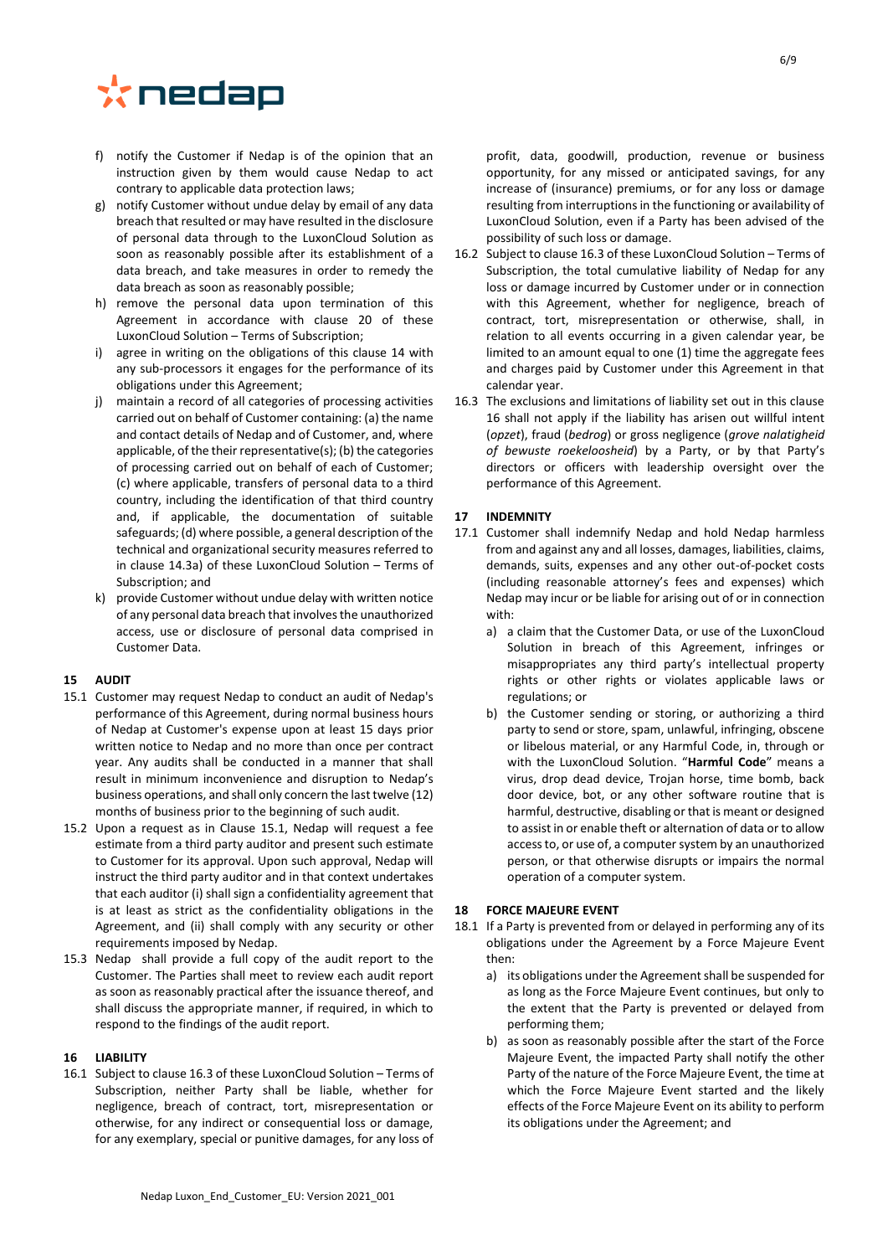

- f) notify the Customer if Nedap is of the opinion that an instruction given by them would cause Nedap to act contrary to applicable data protection laws;
- g) notify Customer without undue delay by email of any data breach that resulted or may have resulted in the disclosure of personal data through to the LuxonCloud Solution as soon as reasonably possible after its establishment of a data breach, and take measures in order to remedy the data breach as soon as reasonably possible;
- h) remove the personal data upon termination of this Agreement in accordance with clause [20](#page-6-1) of these LuxonCloud Solution – Terms of Subscription;
- i) agree in writing on the obligations of this clause [14](#page-4-4) with any sub-processors it engages for the performance of its obligations under this Agreement;
- j) maintain a record of all categories of processing activities carried out on behalf of Customer containing: (a) the name and contact details of Nedap and of Customer, and, where applicable, of the their representative(s); (b) the categories of processing carried out on behalf of each of Customer; (c) where applicable, transfers of personal data to a third country, including the identification of that third country and, if applicable, the documentation of suitable safeguards; (d) where possible, a general description of the technical and organizational security measures referred to in clause [14.3](#page-4-5)[a\)](#page-4-6) of these LuxonCloud Solution – Terms of Subscription; and
- k) provide Customer without undue delay with written notice of any personal data breach that involvesthe unauthorized access, use or disclosure of personal data comprised in Customer Data.

## **15 AUDIT**

- <span id="page-5-1"></span>15.1 Customer may request Nedap to conduct an audit of Nedap's performance of this Agreement, during normal business hours of Nedap at Customer's expense upon at least 15 days prior written notice to Nedap and no more than once per contract year. Any audits shall be conducted in a manner that shall result in minimum inconvenience and disruption to Nedap's business operations, and shall only concern the last twelve (12) months of business prior to the beginning of such audit.
- 15.2 Upon a request as in Clause [15.1,](#page-5-1) Nedap will request a fee estimate from a third party auditor and present such estimate to Customer for its approval. Upon such approval, Nedap will instruct the third party auditor and in that context undertakes that each auditor (i) shall sign a confidentiality agreement that is at least as strict as the confidentiality obligations in the Agreement, and (ii) shall comply with any security or other requirements imposed by Nedap.
- 15.3 Nedap shall provide a full copy of the audit report to the Customer. The Parties shall meet to review each audit report as soon as reasonably practical after the issuance thereof, and shall discuss the appropriate manner, if required, in which to respond to the findings of the audit report.

#### <span id="page-5-3"></span>**16 LIABILITY**

16.1 Subject to claus[e 16.3](#page-5-2) of these LuxonCloud Solution – Terms of Subscription, neither Party shall be liable, whether for negligence, breach of contract, tort, misrepresentation or otherwise, for any indirect or consequential loss or damage, for any exemplary, special or punitive damages, for any loss of

profit, data, goodwill, production, revenue or business opportunity, for any missed or anticipated savings, for any increase of (insurance) premiums, or for any loss or damage resulting from interruptions in the functioning or availability of LuxonCloud Solution, even if a Party has been advised of the possibility of such loss or damage.

- 16.2 Subject to claus[e 16.3](#page-5-2) of these LuxonCloud Solution Terms of Subscription, the total cumulative liability of Nedap for any loss or damage incurred by Customer under or in connection with this Agreement, whether for negligence, breach of contract, tort, misrepresentation or otherwise, shall, in relation to all events occurring in a given calendar year, be limited to an amount equal to one (1) time the aggregate fees and charges paid by Customer under this Agreement in that calendar year.
- <span id="page-5-2"></span>16.3 The exclusions and limitations of liability set out in this clause [16](#page-5-3) shall not apply if the liability has arisen out willful intent (*opzet*), fraud (*bedrog*) or gross negligence (*grove nalatigheid of bewuste roekeloosheid*) by a Party, or by that Party's directors or officers with leadership oversight over the performance of this Agreement.

## **17 INDEMNITY**

- <span id="page-5-0"></span>17.1 Customer shall indemnify Nedap and hold Nedap harmless from and against any and all losses, damages, liabilities, claims, demands, suits, expenses and any other out-of-pocket costs (including reasonable attorney's fees and expenses) which Nedap may incur or be liable for arising out of or in connection with:
	- a) a claim that the Customer Data, or use of the LuxonCloud Solution in breach of this Agreement, infringes or misappropriates any third party's intellectual property rights or other rights or violates applicable laws or regulations; or
	- b) the Customer sending or storing, or authorizing a third party to send or store, spam, unlawful, infringing, obscene or libelous material, or any Harmful Code, in, through or with the LuxonCloud Solution. "**Harmful Code**" means a virus, drop dead device, Trojan horse, time bomb, back door device, bot, or any other software routine that is harmful, destructive, disabling or that is meant or designed to assist in or enable theft or alternation of data or to allow access to, or use of, a computer system by an unauthorized person, or that otherwise disrupts or impairs the normal operation of a computer system.

## **18 FORCE MAJEURE EVENT**

- 18.1 If a Party is prevented from or delayed in performing any of its obligations under the Agreement by a Force Majeure Event then:
	- a) its obligations under the Agreement shall be suspended for as long as the Force Majeure Event continues, but only to the extent that the Party is prevented or delayed from performing them;
	- b) as soon as reasonably possible after the start of the Force Majeure Event, the impacted Party shall notify the other Party of the nature of the Force Majeure Event, the time at which the Force Majeure Event started and the likely effects of the Force Majeure Event on its ability to perform its obligations under the Agreement; and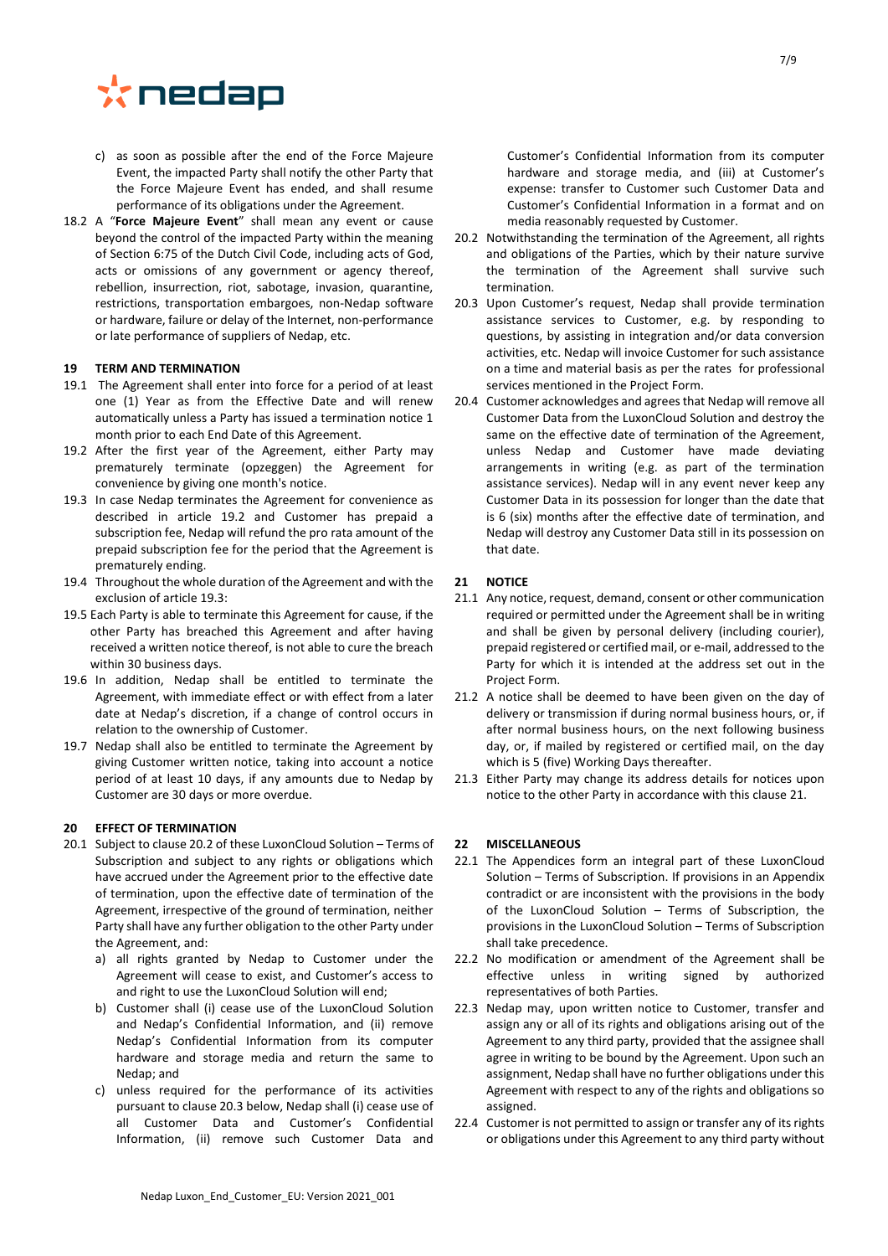

- c) as soon as possible after the end of the Force Majeure Event, the impacted Party shall notify the other Party that the Force Majeure Event has ended, and shall resume performance of its obligations under the Agreement.
- 18.2 A "**Force Majeure Event**" shall mean any event or cause beyond the control of the impacted Party within the meaning of Section 6:75 of the Dutch Civil Code, including acts of God, acts or omissions of any government or agency thereof, rebellion, insurrection, riot, sabotage, invasion, quarantine, restrictions, transportation embargoes, non-Nedap software or hardware, failure or delay of the Internet, non-performance or late performance of suppliers of Nedap, etc.

## **19 TERM AND TERMINATION**

- 19.1 The Agreement shall enter into force for a period of at least one (1) Year as from the Effective Date and will renew automatically unless a Party has issued a termination notice 1 month prior to each End Date of this Agreement.
- 19.2 After the first year of the Agreement, either Party may prematurely terminate (opzeggen) the Agreement for convenience by giving one month's notice.
- 19.3 In case Nedap terminates the Agreement for convenience as described in article 19.2 and Customer has prepaid a subscription fee, Nedap will refund the pro rata amount of the prepaid subscription fee for the period that the Agreement is prematurely ending.
- 19.4 Throughout the whole duration of the Agreement and with the exclusion of article 19.3:
- 19.5 Each Party is able to terminate this Agreement for cause, if the other Party has breached this Agreement and after having received a written notice thereof, is not able to cure the breach within 30 business days.
- 19.6 In addition, Nedap shall be entitled to terminate the Agreement, with immediate effect or with effect from a later date at Nedap's discretion, if a change of control occurs in relation to the ownership of Customer.
- 19.7 Nedap shall also be entitled to terminate the Agreement by giving Customer written notice, taking into account a notice period of at least 10 days, if any amounts due to Nedap by Customer are 30 days or more overdue.

#### <span id="page-6-1"></span>**20 EFFECT OF TERMINATION**

- 20.1 Subject to claus[e 20.2](#page-6-2) of these LuxonCloud Solution Terms of Subscription and subject to any rights or obligations which have accrued under the Agreement prior to the effective date of termination, upon the effective date of termination of the Agreement, irrespective of the ground of termination, neither Party shall have any further obligation to the other Party under the Agreement, and:
	- a) all rights granted by Nedap to Customer under the Agreement will cease to exist, and Customer's access to and right to use the LuxonCloud Solution will end;
	- b) Customer shall (i) cease use of the LuxonCloud Solution and Nedap's Confidential Information, and (ii) remove Nedap's Confidential Information from its computer hardware and storage media and return the same to Nedap; and
	- c) unless required for the performance of its activities pursuant to clause [20.3](#page-6-3) below, Nedap shall (i) cease use of all Customer Data and Customer's Confidential Information, (ii) remove such Customer Data and

Customer's Confidential Information from its computer hardware and storage media, and (iii) at Customer's expense: transfer to Customer such Customer Data and Customer's Confidential Information in a format and on media reasonably requested by Customer.

- <span id="page-6-2"></span>20.2 Notwithstanding the termination of the Agreement, all rights and obligations of the Parties, which by their nature survive the termination of the Agreement shall survive such termination.
- <span id="page-6-3"></span>20.3 Upon Customer's request, Nedap shall provide termination assistance services to Customer, e.g. by responding to questions, by assisting in integration and/or data conversion activities, etc. Nedap will invoice Customer for such assistance on a time and material basis as per the rates for professional services mentioned in the Project Form.
- 20.4 Customer acknowledges and agrees that Nedap will remove all Customer Data from the LuxonCloud Solution and destroy the same on the effective date of termination of the Agreement, unless Nedap and Customer have made deviating arrangements in writing (e.g. as part of the termination assistance services). Nedap will in any event never keep any Customer Data in its possession for longer than the date that is 6 (six) months after the effective date of termination, and Nedap will destroy any Customer Data still in its possession on that date.

## <span id="page-6-0"></span>**21 NOTICE**

- 21.1 Any notice, request, demand, consent or other communication required or permitted under the Agreement shall be in writing and shall be given by personal delivery (including courier), prepaid registered or certified mail, or e-mail, addressed to the Party for which it is intended at the address set out in the Project Form.
- 21.2 A notice shall be deemed to have been given on the day of delivery or transmission if during normal business hours, or, if after normal business hours, on the next following business day, or, if mailed by registered or certified mail, on the day which is 5 (five) Working Days thereafter.
- 21.3 Either Party may change its address details for notices upon notice to the other Party in accordance with this claus[e 21.](#page-6-0)

#### **22 MISCELLANEOUS**

- 22.1 The Appendices form an integral part of these LuxonCloud Solution – Terms of Subscription. If provisions in an Appendix contradict or are inconsistent with the provisions in the body of the LuxonCloud Solution – Terms of Subscription, the provisions in the LuxonCloud Solution – Terms of Subscription shall take precedence.
- 22.2 No modification or amendment of the Agreement shall be effective unless in writing signed by authorized representatives of both Parties.
- <span id="page-6-4"></span>22.3 Nedap may, upon written notice to Customer, transfer and assign any or all of its rights and obligations arising out of the Agreement to any third party, provided that the assignee shall agree in writing to be bound by the Agreement. Upon such an assignment, Nedap shall have no further obligations under this Agreement with respect to any of the rights and obligations so assigned.
- 22.4 Customer is not permitted to assign or transfer any of its rights or obligations under this Agreement to any third party without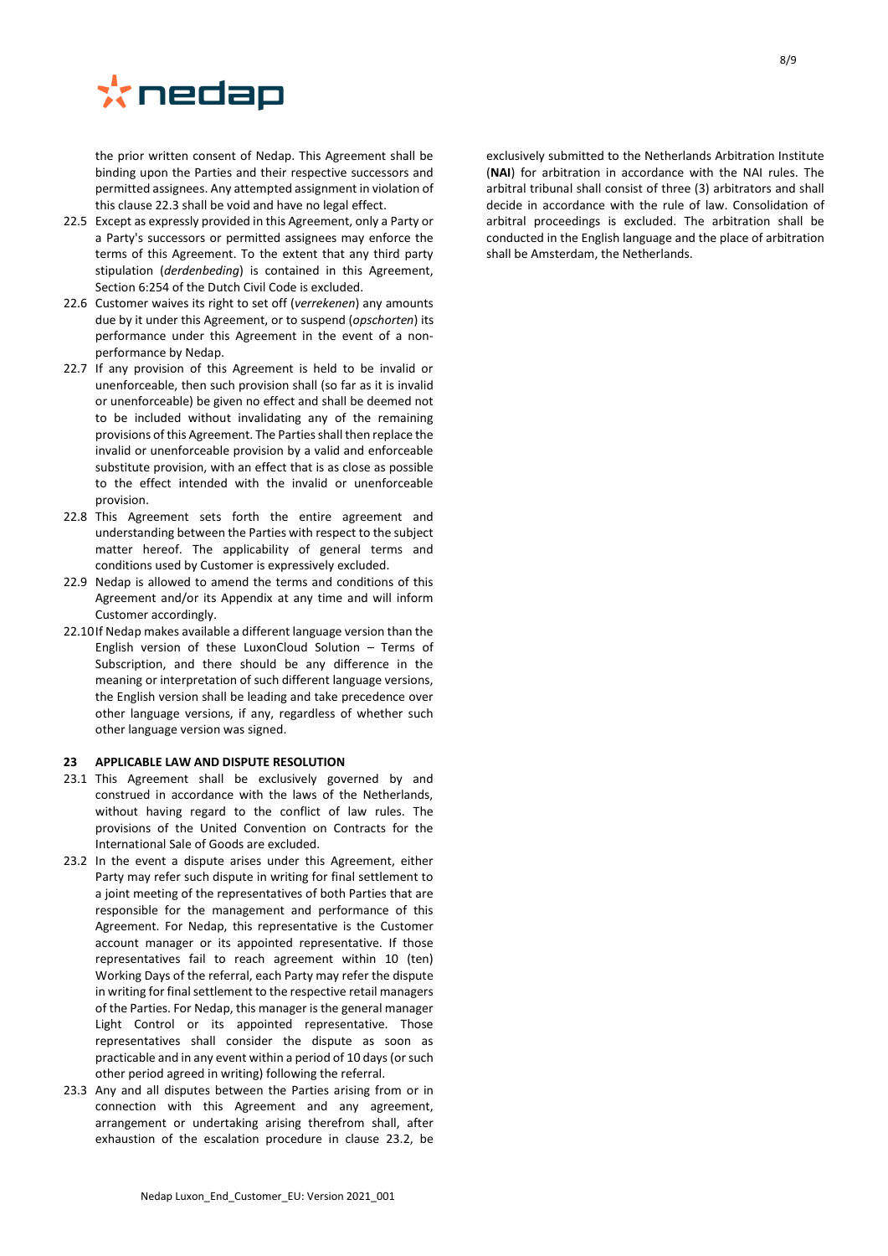

the prior written consent of Nedap. This Agreement shall be binding upon the Parties and their respective successors and permitted assignees. Any attempted assignment in violation of this claus[e 22.3](#page-6-4) shall be void and have no legal effect.

- 22.5 Except as expressly provided in this Agreement, only a Party or a Party's successors or permitted assignees may enforce the terms of this Agreement. To the extent that any third party stipulation (*derdenbeding*) is contained in this Agreement, Section 6:254 of the Dutch Civil Code is excluded.
- 22.6 Customer waives its right to set off (*verrekenen*) any amounts due by it under this Agreement, or to suspend (*opschorten*) its performance under this Agreement in the event of a nonperformance by Nedap.
- 22.7 If any provision of this Agreement is held to be invalid or unenforceable, then such provision shall (so far as it is invalid or unenforceable) be given no effect and shall be deemed not to be included without invalidating any of the remaining provisions of this Agreement. The Parties shall then replace the invalid or unenforceable provision by a valid and enforceable substitute provision, with an effect that is as close as possible to the effect intended with the invalid or unenforceable provision.
- 22.8 This Agreement sets forth the entire agreement and understanding between the Parties with respect to the subject matter hereof. The applicability of general terms and conditions used by Customer is expressively excluded.
- 22.9 Nedap is allowed to amend the terms and conditions of this Agreement and/or its Appendix at any time and will inform Customer accordingly.
- 22.10If Nedap makes available a different language version than the English version of these LuxonCloud Solution – Terms of Subscription, and there should be any difference in the meaning or interpretation of such different language versions, the English version shall be leading and take precedence over other language versions, if any, regardless of whether such other language version was signed.

#### **23 APPLICABLE LAW AND DISPUTE RESOLUTION**

- 23.1 This Agreement shall be exclusively governed by and construed in accordance with the laws of the Netherlands, without having regard to the conflict of law rules. The provisions of the United Convention on Contracts for the International Sale of Goods are excluded.
- <span id="page-7-0"></span>23.2 In the event a dispute arises under this Agreement, either Party may refer such dispute in writing for final settlement to a joint meeting of the representatives of both Parties that are responsible for the management and performance of this Agreement. For Nedap, this representative is the Customer account manager or its appointed representative. If those representatives fail to reach agreement within 10 (ten) Working Days of the referral, each Party may refer the dispute in writing for final settlement to the respective retail managers of the Parties. For Nedap, this manager is the general manager Light Control or its appointed representative. Those representatives shall consider the dispute as soon as practicable and in any event within a period of 10 days (or such other period agreed in writing) following the referral.
- 23.3 Any and all disputes between the Parties arising from or in connection with this Agreement and any agreement, arrangement or undertaking arising therefrom shall, after exhaustion of the escalation procedure in clause [23.2,](#page-7-0) be

exclusively submitted to the Netherlands Arbitration Institute (**NAI**) for arbitration in accordance with the NAI rules. The arbitral tribunal shall consist of three (3) arbitrators and shall decide in accordance with the rule of law. Consolidation of arbitral proceedings is excluded. The arbitration shall be conducted in the English language and the place of arbitration shall be Amsterdam, the Netherlands.